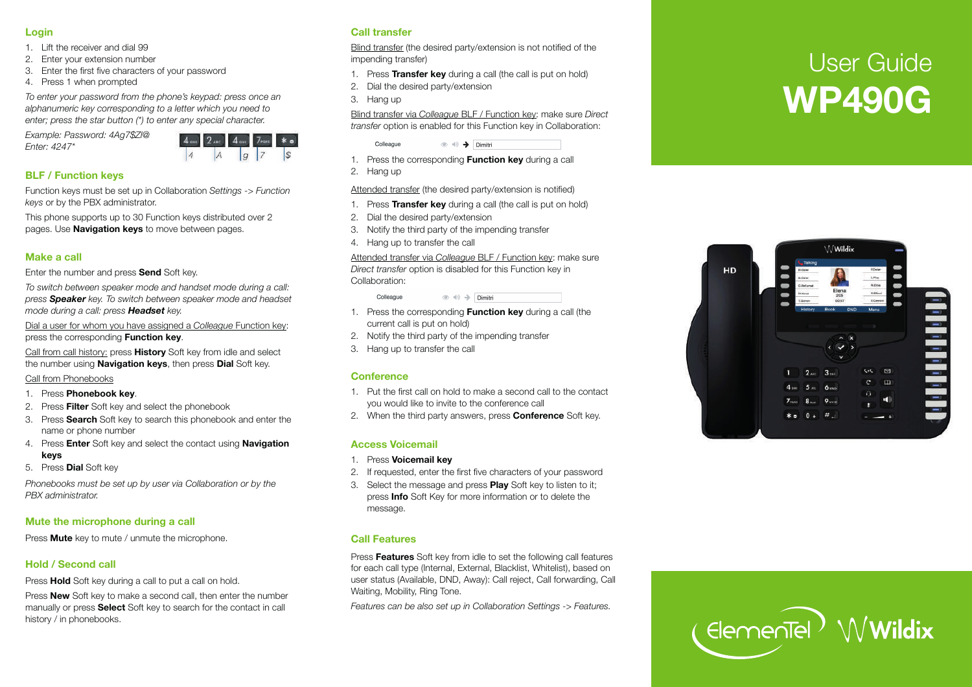#### **Login**

- 1. Lift the receiver and dial 99
- 2. Enter your extension number
- 3. Enter the first five characters of your passwo rd
- 4. P ress 1 when p rompted

*To enter your passwo rd from the phone 's keypad: p ress once an alphanumeric key corresponding to a letter which you need to enter; p ress the star button (\*) to enter any special characte r.* 

*Example: Passwo rd: 4Ag7\$Zl@ Enter: 4247\** 



# **BLF / Function keys**

Function keys must be set up in Collaboration *Settings -> Function keys* or by the PBX administrato r.

This phone supports up to 30 Function keys distributed over 2 pages. Use **Navigation keys** to move between pages.

### **Make a call**

Enter the number and press **Send** Soft key.

*To switch between speaker mode and handset mode during a call: press Speaker key. To switch between speaker mode and headset mode during a call: p ress Headset key.* 

Dial a user for whom you have assigned a *Colleague* Function key: press the corresponding **Function key**.

Call f rom call history: p ress **History** Soft key f rom idle and select the number using **Navigation keys**, then p ress **Dial** Soft ke y.

Call f rom Phonebooks

- 1. P ress **Phonebook key**.
- 2. P ress **Filter** Soft key and select the phonebook
- 3. P ress **Sea rch** Soft key to sea rch this phonebook and enter the name or phone number
- 4. P ress **Enter** Soft key and select the contact using **Navigation keys**
- 5. P ress **Dial** Soft key

*Phonebooks must be set up by user via Collaboration or by the PBX administrato r.* 

# **Mute the mic rophone during a call**

P ress **Mute** key to mute / unmute the mic rophone.

# **Hold / Second call**

Press **Hold** Soft key during a call to put a call on hold.

Press **New** Soft key to make a second call, then enter the number manually or press **Select** Soft key to search for the contact in call history / in phonebooks.

## **Call transfer**

Blind transfer (the desired party/extension is not notified of the impending transfer)

- 1. P ress **Transfer key** during a call (the call is put on hold)
- 2. Dial the desi red party/extension
- 3. Hang up

Blind transfer via *Colleague* BLF / Function key: make sure *Direct transfer* option is enabled for this Function key in Collaboration:

 $\circledcirc \circledast$   $\rightarrow$  Dimitri

- 1. P ress the cor responding **Function key** during a call
- 2. Hang up

Colleague

Attended transfer (the desired party/extension is notified)

- 1. P ress **Transfer key** during a call (the call is put on hold)
- 2. Dial the desi red party/extension
- 3. Notify the thi rd party of the impending transfer
- 4. Hang up to transfer the call

Attended transfer via Colleague BLF / Function key: make sure *Direct transfer* option is disabled for this Function key in Collaboration:

> Colleague  $\circledcirc \Rightarrow$  Dimitri

- 1. P ress the cor responding **Function key** during a call (the cur rent call is put on hold)
- 2. Notify the thi rd party of the impending transfer
- 3. Hang up to transfer the call

## **Conference**

- 1. Put the first call on hold to make a second call to the contact you would like to invite to the conference call
- 2. When the thi rd party answers, p ress **Confe rence** Soft ke y.

# **Access Voicemail**

- 1. P ress **Voicemail key**
- 2. If requested, enter the first five characters of your passwo rd
- 3. Select the message and p ress **Play** Soft key to listen to it; press **Info** Soft Key for more information or to delete the message.

## **Call Features**

Press Features Soft key from idle to set the following call features for each call type (Inte rnal, Exte rnal, Blacklist, Whitelist), based on user status (Available, DND, Away): Call reject, Call forwarding, Call Waiting, Mobilit y, Ring Tone.

*Featu res can be also set up in Collaboration Settings -> Featu res.* 

# User Guide **WP490G**